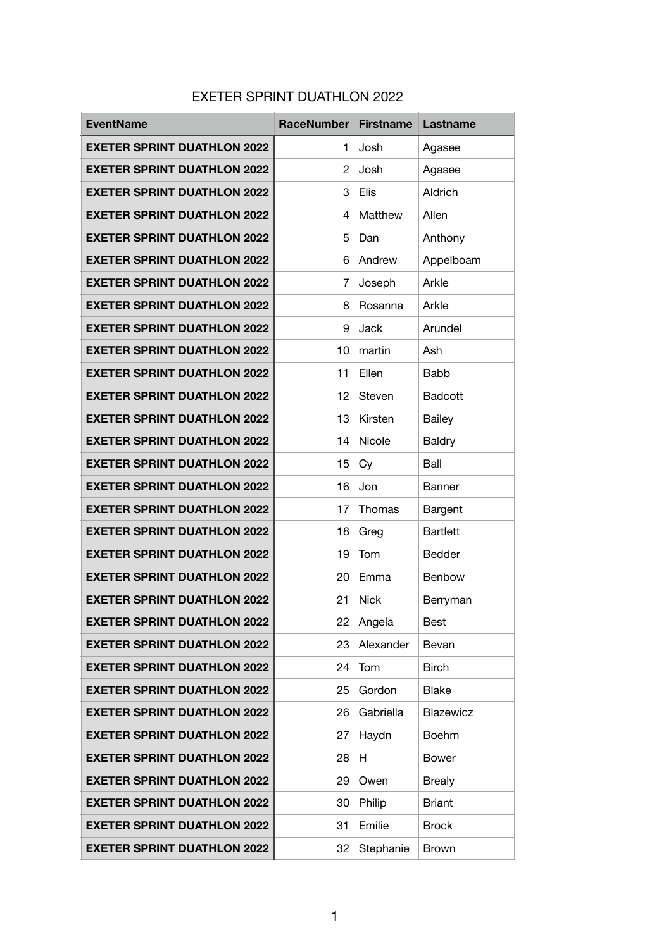## EXETER SPRINT DUATHLON 2022

| <b>EventName</b>                   | <b>RaceNumber</b>     | <b>Firstname</b> | Lastname        |
|------------------------------------|-----------------------|------------------|-----------------|
| <b>EXETER SPRINT DUATHLON 2022</b> | 1                     | Josh             | Agasee          |
| <b>EXETER SPRINT DUATHLON 2022</b> | $\mathbf{2}^{\prime}$ | Josh             | Agasee          |
| <b>EXETER SPRINT DUATHLON 2022</b> | 3                     | Elis             | Aldrich         |
| <b>EXETER SPRINT DUATHLON 2022</b> | 4                     | Matthew          | Allen           |
| <b>EXETER SPRINT DUATHLON 2022</b> | 5                     | Dan              | Anthony         |
| <b>EXETER SPRINT DUATHLON 2022</b> | 6                     | Andrew           | Appelboam       |
| <b>EXETER SPRINT DUATHLON 2022</b> | 7                     | Joseph           | Arkle           |
| <b>EXETER SPRINT DUATHLON 2022</b> | 8                     | Rosanna          | Arkle           |
| <b>EXETER SPRINT DUATHLON 2022</b> | 9                     | Jack             | Arundel         |
| <b>EXETER SPRINT DUATHLON 2022</b> | 10                    | martin           | Ash             |
| <b>EXETER SPRINT DUATHLON 2022</b> | 11                    | Ellen            | <b>Babb</b>     |
| <b>EXETER SPRINT DUATHLON 2022</b> | 12                    | Steven           | <b>Badcott</b>  |
| <b>EXETER SPRINT DUATHLON 2022</b> | 13                    | Kirsten          | <b>Bailey</b>   |
| <b>EXETER SPRINT DUATHLON 2022</b> | 14                    | Nicole           | Baldry          |
| <b>EXETER SPRINT DUATHLON 2022</b> | 15                    | Cy               | Ball            |
| <b>EXETER SPRINT DUATHLON 2022</b> | 16                    | Jon              | <b>Banner</b>   |
| <b>EXETER SPRINT DUATHLON 2022</b> | 17                    | Thomas           | Bargent         |
| <b>EXETER SPRINT DUATHLON 2022</b> | 18                    | Greg             | <b>Bartlett</b> |
| <b>EXETER SPRINT DUATHLON 2022</b> | 19                    | Tom              | Bedder          |
| <b>EXETER SPRINT DUATHLON 2022</b> | 20                    | Emma             | <b>Benbow</b>   |
| <b>EXETER SPRINT DUATHLON 2022</b> | 21                    | <b>Nick</b>      | Berryman        |
| <b>EXETER SPRINT DUATHLON 2022</b> | 22                    | Angela           | Best            |
| <b>EXETER SPRINT DUATHLON 2022</b> | 23                    | Alexander        | Bevan           |
| <b>EXETER SPRINT DUATHLON 2022</b> | 24                    | Tom              | <b>Birch</b>    |
| <b>EXETER SPRINT DUATHLON 2022</b> | 25                    | Gordon           | Blake           |
| <b>EXETER SPRINT DUATHLON 2022</b> | 26                    | Gabriella        | Blazewicz       |
| <b>EXETER SPRINT DUATHLON 2022</b> | 27                    | Haydn            | <b>Boehm</b>    |
| <b>EXETER SPRINT DUATHLON 2022</b> | 28                    | H                | <b>Bower</b>    |
| <b>EXETER SPRINT DUATHLON 2022</b> | 29                    | Owen             | <b>Brealy</b>   |
| <b>EXETER SPRINT DUATHLON 2022</b> | 30                    | Philip           | <b>Briant</b>   |
| <b>EXETER SPRINT DUATHLON 2022</b> | 31                    | Emilie           | <b>Brock</b>    |
| <b>EXETER SPRINT DUATHLON 2022</b> | 32                    | Stephanie        | <b>Brown</b>    |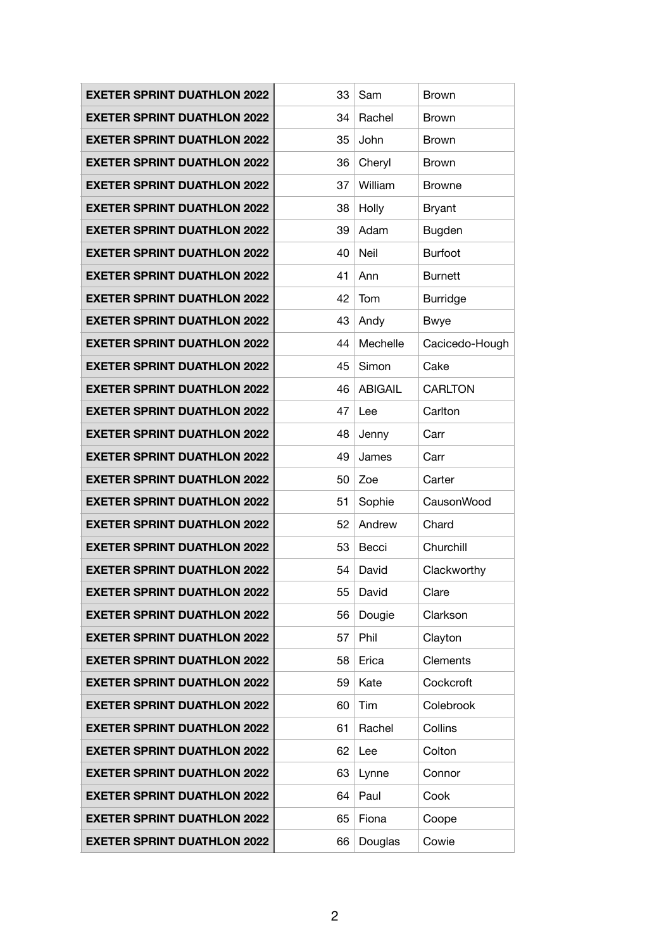| <b>EXETER SPRINT DUATHLON 2022</b> | 33 | Sam            | <b>Brown</b>    |
|------------------------------------|----|----------------|-----------------|
| <b>EXETER SPRINT DUATHLON 2022</b> | 34 | Rachel         | <b>Brown</b>    |
| <b>EXETER SPRINT DUATHLON 2022</b> | 35 | John           | <b>Brown</b>    |
| <b>EXETER SPRINT DUATHLON 2022</b> | 36 | Cheryl         | <b>Brown</b>    |
| <b>EXETER SPRINT DUATHLON 2022</b> | 37 | William        | <b>Browne</b>   |
| <b>EXETER SPRINT DUATHLON 2022</b> | 38 | Holly          | <b>Bryant</b>   |
| <b>EXETER SPRINT DUATHLON 2022</b> | 39 | Adam           | Bugden          |
| <b>EXETER SPRINT DUATHLON 2022</b> | 40 | Neil           | <b>Burfoot</b>  |
| <b>EXETER SPRINT DUATHLON 2022</b> | 41 | Ann            | <b>Burnett</b>  |
| <b>EXETER SPRINT DUATHLON 2022</b> | 42 | Tom            | <b>Burridge</b> |
| <b>EXETER SPRINT DUATHLON 2022</b> | 43 | Andy           | <b>Bwye</b>     |
| <b>EXETER SPRINT DUATHLON 2022</b> | 44 | Mechelle       | Cacicedo-Hough  |
| <b>EXETER SPRINT DUATHLON 2022</b> | 45 | Simon          | Cake            |
| <b>EXETER SPRINT DUATHLON 2022</b> | 46 | <b>ABIGAIL</b> | <b>CARLTON</b>  |
| <b>EXETER SPRINT DUATHLON 2022</b> | 47 | Lee            | Carlton         |
| <b>EXETER SPRINT DUATHLON 2022</b> | 48 | Jenny          | Carr            |
| <b>EXETER SPRINT DUATHLON 2022</b> | 49 | James          | Carr            |
| <b>EXETER SPRINT DUATHLON 2022</b> | 50 | Zoe            | Carter          |
| <b>EXETER SPRINT DUATHLON 2022</b> | 51 | Sophie         | CausonWood      |
| <b>EXETER SPRINT DUATHLON 2022</b> | 52 | Andrew         | Chard           |
| <b>EXETER SPRINT DUATHLON 2022</b> | 53 | Becci          | Churchill       |
| <b>EXETER SPRINT DUATHLON 2022</b> | 54 | David          | Clackworthy     |
| <b>EXETER SPRINT DUATHLON 2022</b> | 55 | David          | Clare           |
| <b>EXETER SPRINT DUATHLON 2022</b> | 56 | Dougie         | Clarkson        |
| <b>EXETER SPRINT DUATHLON 2022</b> | 57 | Phil           | Clayton         |
| <b>EXETER SPRINT DUATHLON 2022</b> | 58 |                |                 |
|                                    |    | Erica          | <b>Clements</b> |
| <b>EXETER SPRINT DUATHLON 2022</b> | 59 | Kate           | Cockcroft       |
| <b>EXETER SPRINT DUATHLON 2022</b> | 60 | Tim            | Colebrook       |
| <b>EXETER SPRINT DUATHLON 2022</b> | 61 | Rachel         | Collins         |
| <b>EXETER SPRINT DUATHLON 2022</b> | 62 | Lee            | Colton          |
| <b>EXETER SPRINT DUATHLON 2022</b> | 63 | Lynne          | Connor          |
| <b>EXETER SPRINT DUATHLON 2022</b> | 64 | Paul           | Cook            |
| <b>EXETER SPRINT DUATHLON 2022</b> | 65 | Fiona          | Coope           |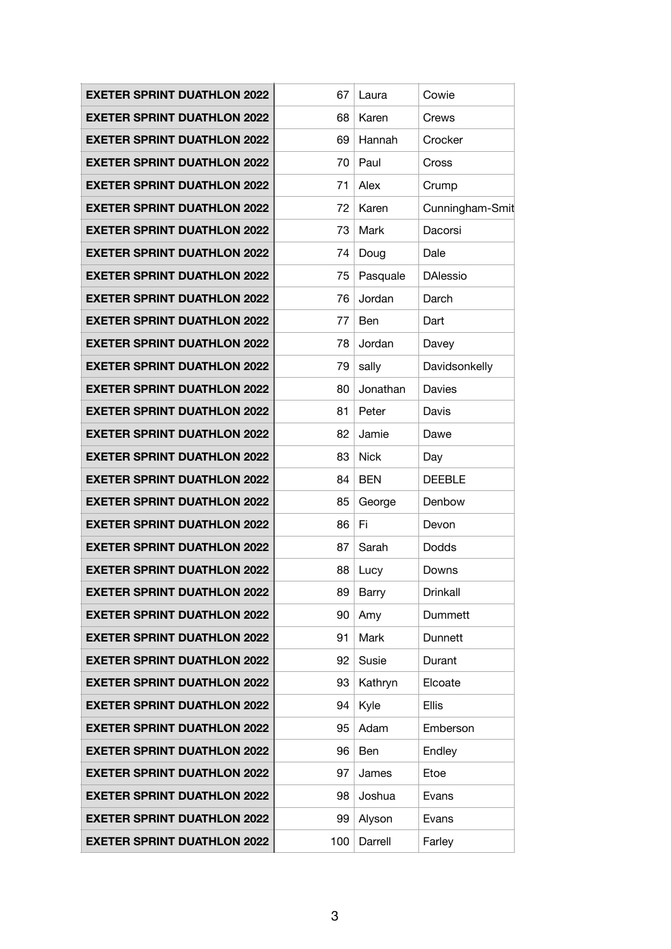| <b>EXETER SPRINT DUATHLON 2022</b> | 67  | Laura       | Cowie           |
|------------------------------------|-----|-------------|-----------------|
| <b>EXETER SPRINT DUATHLON 2022</b> | 68  | Karen       | Crews           |
| <b>EXETER SPRINT DUATHLON 2022</b> | 69  | Hannah      | Crocker         |
| <b>EXETER SPRINT DUATHLON 2022</b> | 70  | Paul        | Cross           |
| <b>EXETER SPRINT DUATHLON 2022</b> | 71  | Alex        | Crump           |
| <b>EXETER SPRINT DUATHLON 2022</b> | 72  | Karen       | Cunningham-Smit |
| <b>EXETER SPRINT DUATHLON 2022</b> | 73  | Mark        | Dacorsi         |
| <b>EXETER SPRINT DUATHLON 2022</b> | 74  | Doug        | Dale            |
| <b>EXETER SPRINT DUATHLON 2022</b> | 75  | Pasquale    | <b>DAlessio</b> |
| <b>EXETER SPRINT DUATHLON 2022</b> | 76  | Jordan      | Darch           |
| <b>EXETER SPRINT DUATHLON 2022</b> | 77  | Ben         | Dart            |
| <b>EXETER SPRINT DUATHLON 2022</b> | 78  | Jordan      | Davey           |
| <b>EXETER SPRINT DUATHLON 2022</b> | 79  | sally       | Davidsonkelly   |
| <b>EXETER SPRINT DUATHLON 2022</b> | 80  | Jonathan    | Davies          |
| <b>EXETER SPRINT DUATHLON 2022</b> | 81  | Peter       | Davis           |
| <b>EXETER SPRINT DUATHLON 2022</b> | 82  | Jamie       | Dawe            |
| <b>EXETER SPRINT DUATHLON 2022</b> | 83  | <b>Nick</b> | Day             |
| <b>EXETER SPRINT DUATHLON 2022</b> | 84  | <b>BEN</b>  | <b>DEEBLE</b>   |
| <b>EXETER SPRINT DUATHLON 2022</b> | 85  | George      | Denbow          |
| <b>EXETER SPRINT DUATHLON 2022</b> | 86  | Fi          | Devon           |
| <b>EXETER SPRINT DUATHLON 2022</b> | 87  | Sarah       | Dodds           |
| <b>EXETER SPRINT DUATHLON 2022</b> | 88  | Lucy        | Downs           |
| <b>EXETER SPRINT DUATHLON 2022</b> | 89  | Barry       | Drinkall        |
| <b>EXETER SPRINT DUATHLON 2022</b> | 90  | Amy         | Dummett         |
| <b>EXETER SPRINT DUATHLON 2022</b> | 91  | Mark        | Dunnett         |
| <b>EXETER SPRINT DUATHLON 2022</b> | 92  | Susie       | Durant          |
| <b>EXETER SPRINT DUATHLON 2022</b> | 93  | Kathryn     | Elcoate         |
| <b>EXETER SPRINT DUATHLON 2022</b> | 94  | Kyle        | <b>Ellis</b>    |
| <b>EXETER SPRINT DUATHLON 2022</b> | 95  | Adam        | Emberson        |
| <b>EXETER SPRINT DUATHLON 2022</b> | 96  | Ben         | Endley          |
| <b>EXETER SPRINT DUATHLON 2022</b> | 97  | James       | Etoe            |
| <b>EXETER SPRINT DUATHLON 2022</b> | 98  | Joshua      | Evans           |
| <b>EXETER SPRINT DUATHLON 2022</b> | 99  | Alyson      | Evans           |
| <b>EXETER SPRINT DUATHLON 2022</b> | 100 | Darrell     | Farley          |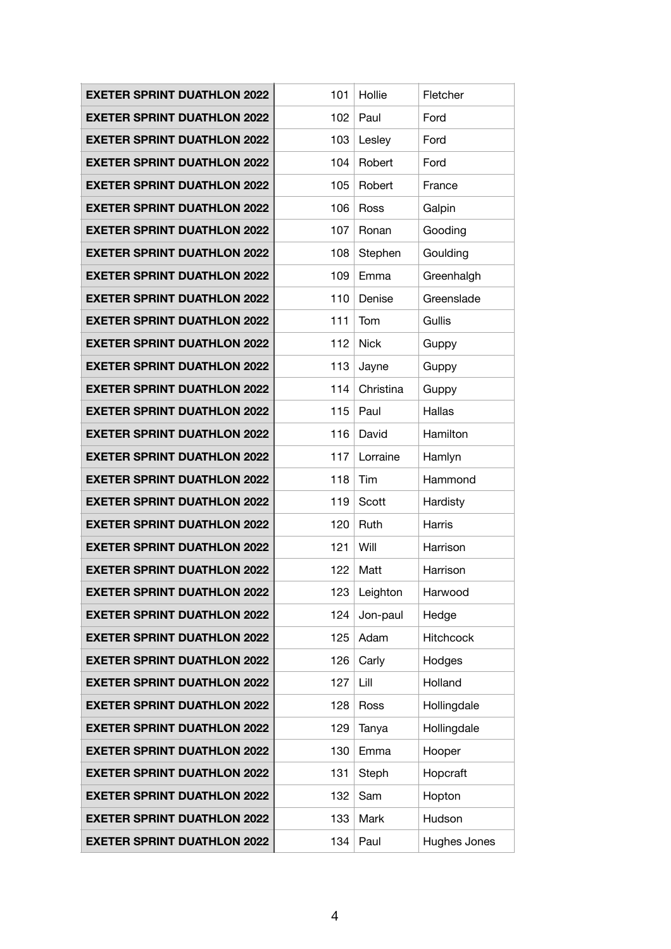| <b>EXETER SPRINT DUATHLON 2022</b> | 101 | Hollie      | Fletcher         |
|------------------------------------|-----|-------------|------------------|
| <b>EXETER SPRINT DUATHLON 2022</b> | 102 | Paul        | Ford             |
| <b>EXETER SPRINT DUATHLON 2022</b> | 103 | Lesley      | Ford             |
| <b>EXETER SPRINT DUATHLON 2022</b> | 104 | Robert      | Ford             |
| <b>EXETER SPRINT DUATHLON 2022</b> | 105 | Robert      | France           |
| <b>EXETER SPRINT DUATHLON 2022</b> | 106 | Ross        | Galpin           |
| <b>EXETER SPRINT DUATHLON 2022</b> | 107 | Ronan       | Gooding          |
| <b>EXETER SPRINT DUATHLON 2022</b> | 108 | Stephen     | Goulding         |
| <b>EXETER SPRINT DUATHLON 2022</b> | 109 | Emma        | Greenhalgh       |
| <b>EXETER SPRINT DUATHLON 2022</b> | 110 | Denise      | Greenslade       |
| <b>EXETER SPRINT DUATHLON 2022</b> | 111 | Tom         | Gullis           |
| <b>EXETER SPRINT DUATHLON 2022</b> | 112 | <b>Nick</b> | Guppy            |
| <b>EXETER SPRINT DUATHLON 2022</b> | 113 | Jayne       | Guppy            |
| <b>EXETER SPRINT DUATHLON 2022</b> | 114 | Christina   | Guppy            |
| <b>EXETER SPRINT DUATHLON 2022</b> | 115 | Paul        | Hallas           |
| <b>EXETER SPRINT DUATHLON 2022</b> | 116 | David       | Hamilton         |
| <b>EXETER SPRINT DUATHLON 2022</b> | 117 | Lorraine    | Hamlyn           |
| <b>EXETER SPRINT DUATHLON 2022</b> | 118 | Tim         | Hammond          |
| <b>EXETER SPRINT DUATHLON 2022</b> | 119 | Scott       | Hardisty         |
| <b>EXETER SPRINT DUATHLON 2022</b> | 120 | Ruth        | Harris           |
| <b>EXETER SPRINT DUATHLON 2022</b> | 121 | Will        | Harrison         |
| <b>EXETER SPRINT DUATHLON 2022</b> | 122 | Matt        | Harrison         |
| <b>EXETER SPRINT DUATHLON 2022</b> | 123 | Leighton    | Harwood          |
| <b>EXETER SPRINT DUATHLON 2022</b> | 124 | Jon-paul    | Hedge            |
| <b>EXETER SPRINT DUATHLON 2022</b> | 125 | Adam        | <b>Hitchcock</b> |
| <b>EXETER SPRINT DUATHLON 2022</b> | 126 | Carly       | Hodges           |
| <b>EXETER SPRINT DUATHLON 2022</b> | 127 | Lill        | Holland          |
| <b>EXETER SPRINT DUATHLON 2022</b> | 128 | Ross        | Hollingdale      |
| <b>EXETER SPRINT DUATHLON 2022</b> | 129 | Tanya       | Hollingdale      |
| <b>EXETER SPRINT DUATHLON 2022</b> | 130 | Emma        | Hooper           |
| <b>EXETER SPRINT DUATHLON 2022</b> | 131 | Steph       | Hopcraft         |
| <b>EXETER SPRINT DUATHLON 2022</b> | 132 | Sam         | Hopton           |
| <b>EXETER SPRINT DUATHLON 2022</b> | 133 | Mark        | Hudson           |
| <b>EXETER SPRINT DUATHLON 2022</b> | 134 | Paul        | Hughes Jones     |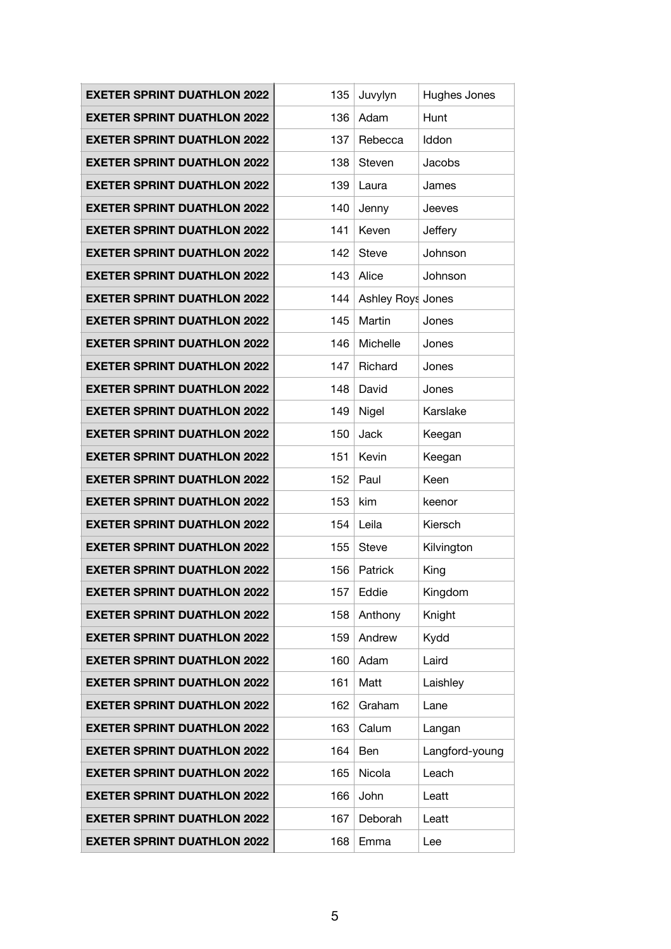| <b>EXETER SPRINT DUATHLON 2022</b> | 135 | Juvylyn           | Hughes Jones   |
|------------------------------------|-----|-------------------|----------------|
| <b>EXETER SPRINT DUATHLON 2022</b> | 136 | Adam              | Hunt           |
| <b>EXETER SPRINT DUATHLON 2022</b> | 137 | Rebecca           | Iddon          |
| <b>EXETER SPRINT DUATHLON 2022</b> | 138 | Steven            | Jacobs         |
| <b>EXETER SPRINT DUATHLON 2022</b> | 139 | Laura             | James          |
| <b>EXETER SPRINT DUATHLON 2022</b> | 140 | Jenny             | Jeeves         |
| <b>EXETER SPRINT DUATHLON 2022</b> | 141 | Keven             | Jeffery        |
| <b>EXETER SPRINT DUATHLON 2022</b> | 142 | <b>Steve</b>      | Johnson        |
| <b>EXETER SPRINT DUATHLON 2022</b> | 143 | Alice             | Johnson        |
| <b>EXETER SPRINT DUATHLON 2022</b> | 144 | Ashley Roys Jones |                |
| <b>EXETER SPRINT DUATHLON 2022</b> | 145 | Martin            | Jones          |
| <b>EXETER SPRINT DUATHLON 2022</b> | 146 | Michelle          | Jones          |
| <b>EXETER SPRINT DUATHLON 2022</b> | 147 | Richard           | Jones          |
| <b>EXETER SPRINT DUATHLON 2022</b> | 148 | David             | Jones          |
| <b>EXETER SPRINT DUATHLON 2022</b> | 149 | Nigel             | Karslake       |
| <b>EXETER SPRINT DUATHLON 2022</b> | 150 | Jack              | Keegan         |
| <b>EXETER SPRINT DUATHLON 2022</b> | 151 | Kevin             | Keegan         |
| <b>EXETER SPRINT DUATHLON 2022</b> | 152 | Paul              | Keen           |
| <b>EXETER SPRINT DUATHLON 2022</b> | 153 | kim               | keenor         |
| <b>EXETER SPRINT DUATHLON 2022</b> | 154 | Leila             | Kiersch        |
| <b>EXETER SPRINT DUATHLON 2022</b> | 155 | <b>Steve</b>      | Kilvington     |
| <b>EXETER SPRINT DUATHLON 2022</b> | 156 | Patrick           | King           |
| <b>EXETER SPRINT DUATHLON 2022</b> | 157 | Eddie             | Kingdom        |
| <b>EXETER SPRINT DUATHLON 2022</b> | 158 | Anthony           | Knight         |
| <b>EXETER SPRINT DUATHLON 2022</b> | 159 | Andrew            | Kydd           |
| <b>EXETER SPRINT DUATHLON 2022</b> | 160 | Adam              | Laird          |
| <b>EXETER SPRINT DUATHLON 2022</b> | 161 | Matt              | Laishley       |
| <b>EXETER SPRINT DUATHLON 2022</b> | 162 | Graham            | Lane           |
| <b>EXETER SPRINT DUATHLON 2022</b> | 163 | Calum             | Langan         |
| <b>EXETER SPRINT DUATHLON 2022</b> | 164 | Ben               | Langford-young |
| <b>EXETER SPRINT DUATHLON 2022</b> | 165 | Nicola            | Leach          |
| <b>EXETER SPRINT DUATHLON 2022</b> | 166 | John              | Leatt          |
| <b>EXETER SPRINT DUATHLON 2022</b> | 167 | Deborah           | Leatt          |
| <b>EXETER SPRINT DUATHLON 2022</b> | 168 | Emma              | Lee            |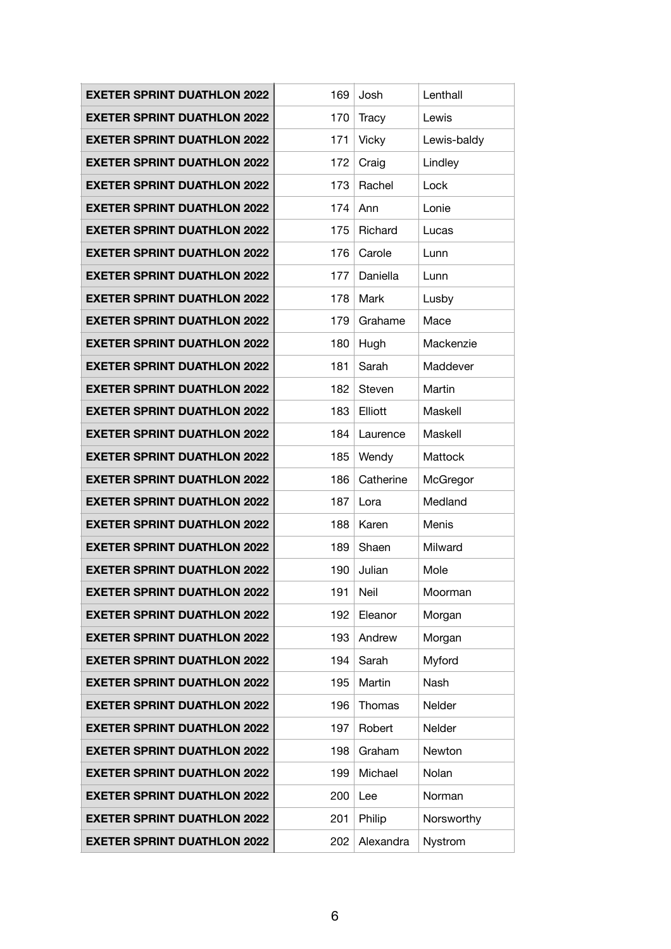| <b>EXETER SPRINT DUATHLON 2022</b> | 169 | Josh         | Lenthall     |
|------------------------------------|-----|--------------|--------------|
| <b>EXETER SPRINT DUATHLON 2022</b> | 170 | <b>Tracy</b> | Lewis        |
| <b>EXETER SPRINT DUATHLON 2022</b> | 171 | <b>Vicky</b> | Lewis-baldy  |
| <b>EXETER SPRINT DUATHLON 2022</b> | 172 | Craig        | Lindley      |
| <b>EXETER SPRINT DUATHLON 2022</b> | 173 | Rachel       | Lock         |
| <b>EXETER SPRINT DUATHLON 2022</b> | 174 | Ann          | Lonie        |
| <b>EXETER SPRINT DUATHLON 2022</b> | 175 | Richard      | Lucas        |
| <b>EXETER SPRINT DUATHLON 2022</b> | 176 | Carole       | Lunn         |
| <b>EXETER SPRINT DUATHLON 2022</b> | 177 | Daniella     | Lunn         |
| <b>EXETER SPRINT DUATHLON 2022</b> | 178 | Mark         | Lusby        |
| <b>EXETER SPRINT DUATHLON 2022</b> | 179 | Grahame      | Mace         |
| <b>EXETER SPRINT DUATHLON 2022</b> | 180 | Hugh         | Mackenzie    |
| <b>EXETER SPRINT DUATHLON 2022</b> | 181 | Sarah        | Maddever     |
| <b>EXETER SPRINT DUATHLON 2022</b> | 182 | Steven       | Martin       |
| <b>EXETER SPRINT DUATHLON 2022</b> | 183 | Elliott      | Maskell      |
| <b>EXETER SPRINT DUATHLON 2022</b> | 184 | Laurence     | Maskell      |
| <b>EXETER SPRINT DUATHLON 2022</b> | 185 | Wendy        | Mattock      |
| <b>EXETER SPRINT DUATHLON 2022</b> | 186 | Catherine    | McGregor     |
| <b>EXETER SPRINT DUATHLON 2022</b> | 187 | Lora         | Medland      |
| <b>EXETER SPRINT DUATHLON 2022</b> | 188 | Karen        | <b>Menis</b> |
| <b>EXETER SPRINT DUATHLON 2022</b> | 189 | Shaen        | Milward      |
| <b>EXETER SPRINT DUATHLON 2022</b> | 190 | Julian       | Mole         |
| <b>EXETER SPRINT DUATHLON 2022</b> | 191 | Neil         | Moorman      |
| <b>EXETER SPRINT DUATHLON 2022</b> | 192 | Eleanor      | Morgan       |
| <b>EXETER SPRINT DUATHLON 2022</b> | 193 | Andrew       | Morgan       |
| <b>EXETER SPRINT DUATHLON 2022</b> | 194 | Sarah        | Myford       |
| <b>EXETER SPRINT DUATHLON 2022</b> | 195 | Martin       | Nash         |
| <b>EXETER SPRINT DUATHLON 2022</b> | 196 | Thomas       | Nelder       |
| <b>EXETER SPRINT DUATHLON 2022</b> | 197 | Robert       | Nelder       |
| <b>EXETER SPRINT DUATHLON 2022</b> | 198 | Graham       | Newton       |
| <b>EXETER SPRINT DUATHLON 2022</b> | 199 | Michael      | Nolan        |
| <b>EXETER SPRINT DUATHLON 2022</b> | 200 | Lee          | Norman       |
| <b>EXETER SPRINT DUATHLON 2022</b> | 201 | Philip       | Norsworthy   |
| <b>EXETER SPRINT DUATHLON 2022</b> | 202 | Alexandra    | Nystrom      |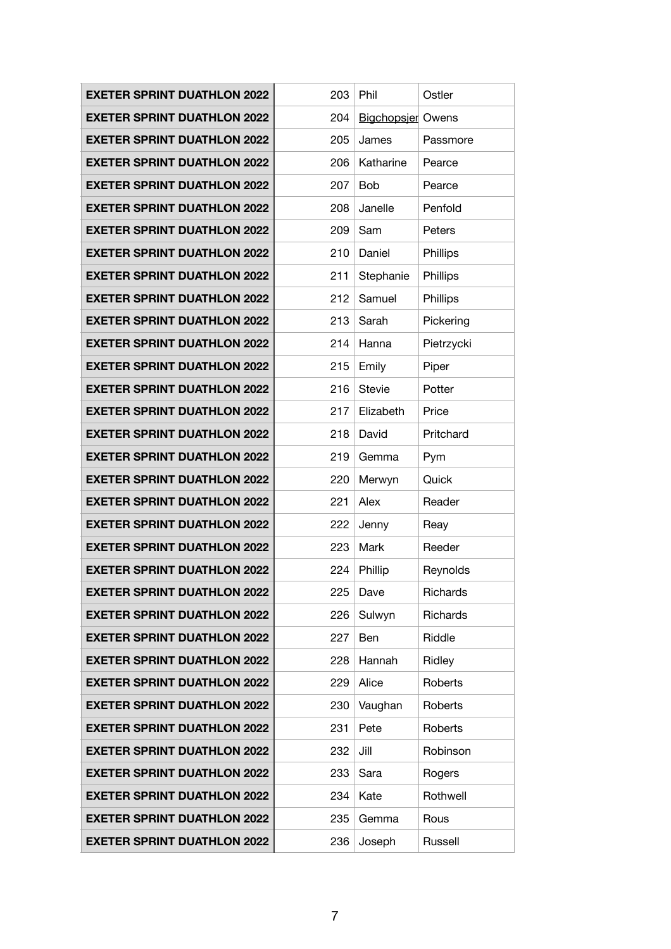| <b>EXETER SPRINT DUATHLON 2022</b> | 203 | Phil                     | Ostler     |
|------------------------------------|-----|--------------------------|------------|
| <b>EXETER SPRINT DUATHLON 2022</b> | 204 | <b>Bigchopsier Owens</b> |            |
| <b>EXETER SPRINT DUATHLON 2022</b> | 205 | James                    | Passmore   |
| <b>EXETER SPRINT DUATHLON 2022</b> | 206 | Katharine                | Pearce     |
| <b>EXETER SPRINT DUATHLON 2022</b> | 207 | <b>Bob</b>               | Pearce     |
| <b>EXETER SPRINT DUATHLON 2022</b> | 208 | Janelle                  | Penfold    |
| <b>EXETER SPRINT DUATHLON 2022</b> | 209 | Sam                      | Peters     |
| <b>EXETER SPRINT DUATHLON 2022</b> | 210 | Daniel                   | Phillips   |
| <b>EXETER SPRINT DUATHLON 2022</b> | 211 | Stephanie                | Phillips   |
| <b>EXETER SPRINT DUATHLON 2022</b> | 212 | Samuel                   | Phillips   |
| <b>EXETER SPRINT DUATHLON 2022</b> | 213 | Sarah                    | Pickering  |
| <b>EXETER SPRINT DUATHLON 2022</b> | 214 | Hanna                    | Pietrzycki |
| <b>EXETER SPRINT DUATHLON 2022</b> | 215 | Emily                    | Piper      |
| <b>EXETER SPRINT DUATHLON 2022</b> | 216 | <b>Stevie</b>            | Potter     |
| <b>EXETER SPRINT DUATHLON 2022</b> | 217 | Elizabeth                | Price      |
| <b>EXETER SPRINT DUATHLON 2022</b> | 218 | David                    | Pritchard  |
| <b>EXETER SPRINT DUATHLON 2022</b> | 219 | Gemma                    | Pym        |
| <b>EXETER SPRINT DUATHLON 2022</b> | 220 | Merwyn                   | Quick      |
| <b>EXETER SPRINT DUATHLON 2022</b> | 221 | Alex                     | Reader     |
| <b>EXETER SPRINT DUATHLON 2022</b> | 222 | Jenny                    | Reay       |
| <b>EXETER SPRINT DUATHLON 2022</b> | 223 | Mark                     | Reeder     |
| <b>EXETER SPRINT DUATHLON 2022</b> | 224 | Phillip                  | Reynolds   |
| <b>EXETER SPRINT DUATHLON 2022</b> | 225 | Dave                     | Richards   |
| <b>EXETER SPRINT DUATHLON 2022</b> | 226 | Sulwyn                   | Richards   |
| <b>EXETER SPRINT DUATHLON 2022</b> | 227 | Ben                      | Riddle     |
| <b>EXETER SPRINT DUATHLON 2022</b> | 228 | Hannah                   | Ridley     |
| <b>EXETER SPRINT DUATHLON 2022</b> | 229 | Alice                    | Roberts    |
|                                    |     |                          |            |
| <b>EXETER SPRINT DUATHLON 2022</b> | 230 | Vaughan                  | Roberts    |
| <b>EXETER SPRINT DUATHLON 2022</b> | 231 | Pete                     | Roberts    |
| <b>EXETER SPRINT DUATHLON 2022</b> | 232 | Jill                     | Robinson   |
| <b>EXETER SPRINT DUATHLON 2022</b> | 233 | Sara                     | Rogers     |
| <b>EXETER SPRINT DUATHLON 2022</b> | 234 | Kate                     | Rothwell   |
| <b>EXETER SPRINT DUATHLON 2022</b> | 235 | Gemma                    | Rous       |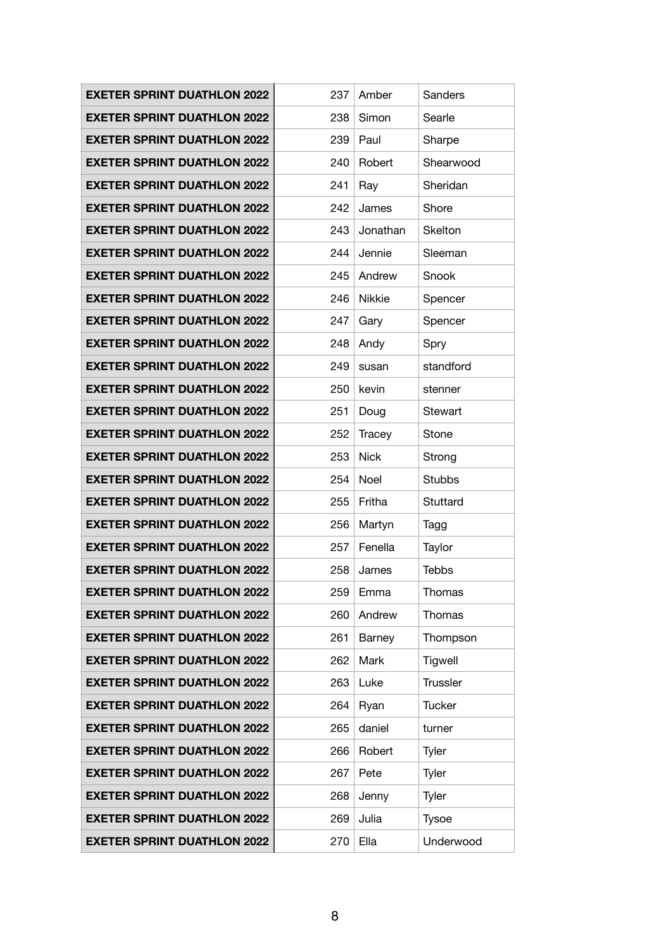| <b>EXETER SPRINT DUATHLON 2022</b> | 237 | Amber       | Sanders         |
|------------------------------------|-----|-------------|-----------------|
| <b>EXETER SPRINT DUATHLON 2022</b> | 238 | Simon       | Searle          |
| <b>EXETER SPRINT DUATHLON 2022</b> | 239 | Paul        | Sharpe          |
| <b>EXETER SPRINT DUATHLON 2022</b> | 240 | Robert      | Shearwood       |
| <b>EXETER SPRINT DUATHLON 2022</b> | 241 | Ray         | Sheridan        |
| <b>EXETER SPRINT DUATHLON 2022</b> | 242 | James       | Shore           |
| <b>EXETER SPRINT DUATHLON 2022</b> | 243 | Jonathan    | <b>Skelton</b>  |
| <b>EXETER SPRINT DUATHLON 2022</b> | 244 | Jennie      | Sleeman         |
| <b>EXETER SPRINT DUATHLON 2022</b> | 245 | Andrew      | Snook           |
| <b>EXETER SPRINT DUATHLON 2022</b> | 246 | Nikkie      | Spencer         |
| <b>EXETER SPRINT DUATHLON 2022</b> | 247 | Gary        | Spencer         |
| <b>EXETER SPRINT DUATHLON 2022</b> | 248 | Andy        | Spry            |
| <b>EXETER SPRINT DUATHLON 2022</b> | 249 | susan       | standford       |
| <b>EXETER SPRINT DUATHLON 2022</b> | 250 | kevin       | stenner         |
| <b>EXETER SPRINT DUATHLON 2022</b> | 251 | Doug        | Stewart         |
| <b>EXETER SPRINT DUATHLON 2022</b> | 252 | Tracey      | Stone           |
| <b>EXETER SPRINT DUATHLON 2022</b> | 253 | <b>Nick</b> | Strong          |
| <b>EXETER SPRINT DUATHLON 2022</b> | 254 | Noel        | <b>Stubbs</b>   |
| <b>EXETER SPRINT DUATHLON 2022</b> | 255 | Fritha      | Stuttard        |
| <b>EXETER SPRINT DUATHLON 2022</b> | 256 | Martyn      | Tagg            |
| <b>EXETER SPRINT DUATHLON 2022</b> | 257 | Fenella     | Taylor          |
| <b>EXETER SPRINT DUATHLON 2022</b> | 258 | James       | <b>Tebbs</b>    |
| <b>EXETER SPRINT DUATHLON 2022</b> | 259 | Emma        | Thomas          |
| <b>EXETER SPRINT DUATHLON 2022</b> | 260 | Andrew      | Thomas          |
| <b>EXETER SPRINT DUATHLON 2022</b> | 261 | Barney      | Thompson        |
| <b>EXETER SPRINT DUATHLON 2022</b> | 262 | Mark        | Tigwell         |
| <b>EXETER SPRINT DUATHLON 2022</b> | 263 | Luke        | <b>Trussler</b> |
| <b>EXETER SPRINT DUATHLON 2022</b> | 264 | Ryan        | <b>Tucker</b>   |
| <b>EXETER SPRINT DUATHLON 2022</b> | 265 | daniel      | turner          |
| <b>EXETER SPRINT DUATHLON 2022</b> | 266 | Robert      | Tyler           |
| <b>EXETER SPRINT DUATHLON 2022</b> | 267 | Pete        | Tyler           |
| <b>EXETER SPRINT DUATHLON 2022</b> | 268 | Jenny       | Tyler           |
| <b>EXETER SPRINT DUATHLON 2022</b> | 269 | Julia       | <b>Tysoe</b>    |
| <b>EXETER SPRINT DUATHLON 2022</b> | 270 | Ella        | Underwood       |